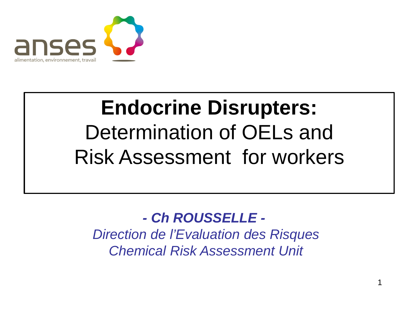

# **Endocrine Disrupters:**  Determination of OELs and Risk Assessment for workers

#### $\overline{\phantom{0}}$ *- Ch ROUSSELLE -*

*Direction de l'Evaluation des Risques Chemical Risk Assessment Unit*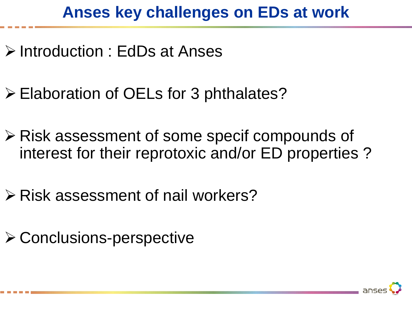## **Anses key challenges on EDs at work**

- Introduction : EdDs at Anses
- **Elaboration of OELs for 3 phthalates?**
- Risk assessment of some specif compounds of interest for their reprotoxic and/or ED properties ?
- $\triangleright$  Risk assessment of nail workers?
- $\triangleright$  Conclusions-perspective

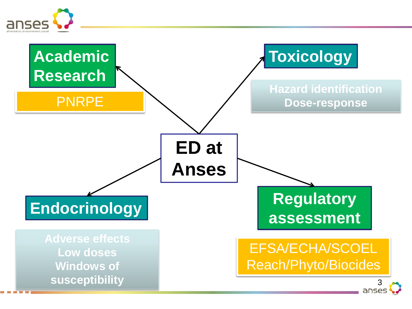

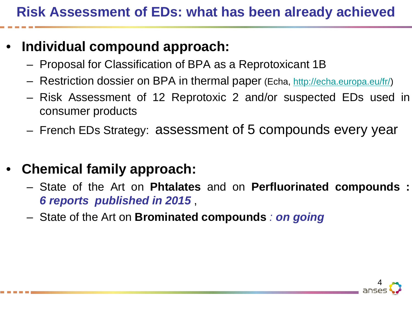#### • **Individual compound approach:**

- Proposal for Classification of BPA as a Reprotoxicant 1B
- Restriction dossier on BPA in thermal paper (Echa, <http://echa.europa.eu/fr/>)
- Risk Assessment of 12 Reprotoxic 2 and/or suspected EDs used in consumer products
- French EDs Strategy: assessment of 5 compounds every year
- **Chemical family approach:**
	- State of the Art on **Phtalates** and on **Perfluorinated compounds :**  *6 reports published in 2015* ,
	- State of the Art on **Brominated compounds** *: on going*

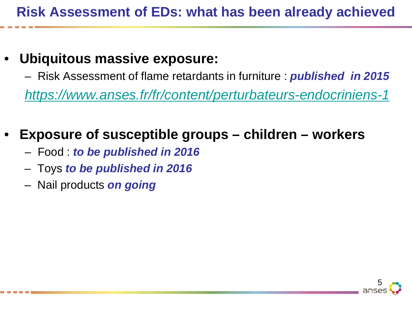#### • **Ubiquitous massive exposure:**

– Risk Assessment of flame retardants in furniture : *published in 2015*

*<https://www.anses.fr/fr/content/perturbateurs-endocriniens-1>*

## • **Exposure of susceptible groups – children – workers**

- Food : *to be published in 2016*
- Toys *to be published in 2016*
- Nail products *on going*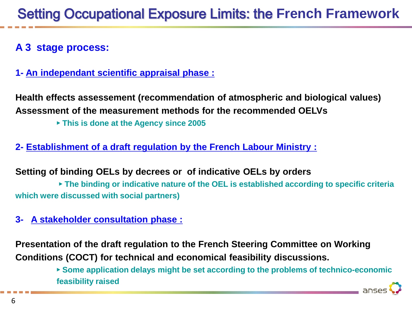#### **A 3 stage process:**

**1- An independant scientific appraisal phase :**

**Health effects assessement (recommendation of atmospheric and biological values) Assessment of the measurement methods for the recommended OELVs**

► **This is done at the Agency since 2005**

**2- Establishment of a draft regulation by the French Labour Ministry :**

**Setting of binding OELs by decrees or of indicative OELs by orders** 

► **The binding or indicative nature of the OEL is established according to specific criteria which were discussed with social partners)**

**3- A stakeholder consultation phase :**

**Presentation of the draft regulation to the French Steering Committee on Working Conditions (COCT) for technical and economical feasibility discussions.**

> ► **Some application delays might be set according to the problems of technico-economic feasibility raised**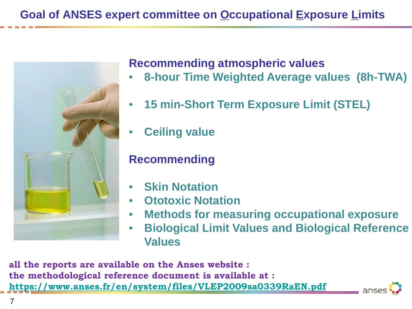#### **Goal of ANSES expert committee on Occupational Exposure Limits**



#### **Recommending atmospheric values**

- **8-hour Time Weighted Average values (8h-TWA)**
- **15 min-Short Term Exposure Limit (STEL)**
- **Ceiling value**

#### **Recommending**

- **Skin Notation**
- **Ototoxic Notation**
- **Methods for measuring occupational exposure**
- **Biological Limit Values and Biological Reference Values**

**all the reports are available on the Anses website : the methodological reference document is available at : <https://www.anses.fr/en/system/files/VLEP2009sa0339RaEN.pdf>**

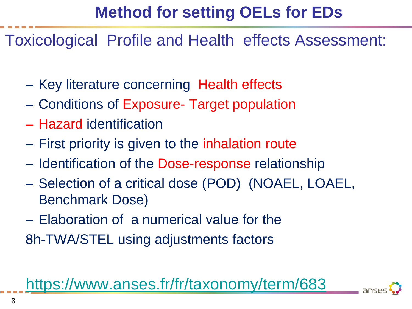## **Method for setting OELs for EDs**

Toxicological Profile and Health effects Assessment:

- Key literature concerning Health effects
- Conditions of Exposure- Target population
- Hazard identification
- First priority is given to the inhalation route
- Identification of the Dose-response relationship
- Selection of a critical dose (POD) (NOAEL, LOAEL, Benchmark Dose)
- Elaboration of a numerical value for the
- 8h-TWA/STEL using adjustments factors

<https://www.anses.fr/fr/taxonomy/term/683>

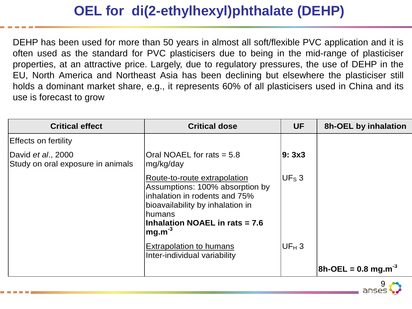### **OEL for di(2-ethylhexyl)phthalate (DEHP)**

DEHP has been used for more than 50 years in almost all soft/flexible PVC application and it is often used as the standard for PVC plasticisers due to being in the mid-range of plasticiser properties, at an attractive price. Largely, due to regulatory pressures, the use of DEHP in the EU, North America and Northeast Asia has been declining but elsewhere the plasticiser still holds a dominant market share, e.g., it represents 60% of all plasticisers used in China and its use is forecast to grow

| <b>Critical effect</b>                                          | <b>Critical dose</b>                                                                                                                                                                                     | <b>UF</b>         | <b>8h-OEL by inhalation</b>        |
|-----------------------------------------------------------------|----------------------------------------------------------------------------------------------------------------------------------------------------------------------------------------------------------|-------------------|------------------------------------|
| <b>Effects on fertility</b>                                     |                                                                                                                                                                                                          |                   |                                    |
| David <i>et al.</i> , 2000<br>Study on oral exposure in animals | Oral NOAEL for rats $= 5.8$<br>mg/kg/day                                                                                                                                                                 | l9: 3x3           |                                    |
|                                                                 | Route-to-route extrapolation<br>Assumptions: 100% absorption by<br>linhalation in rodents and 75%<br>bioavailability by inhalation in<br>Ihumans<br><b>Inhalation NOAEL in rats = 7.6</b><br>$mg.m^{-3}$ | UF <sub>s</sub> 3 |                                    |
|                                                                 | <b>Extrapolation to humans</b><br>Inter-individual variability                                                                                                                                           | $UF_H 3$          |                                    |
|                                                                 |                                                                                                                                                                                                          |                   | $8h$ -OEL = 0.8 mg.m <sup>-3</sup> |

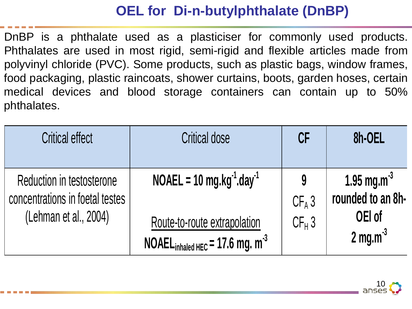### **OEL for Di-n-butylphthalate (DnBP)**

DnBP is a phthalate used as a plasticiser for commonly used products. Phthalates are used in most rigid, semi-rigid and flexible articles made from polyvinyl chloride (PVC). Some products, such as plastic bags, window frames, food packaging, plastic raincoats, shower curtains, boots, garden hoses, certain medical devices and blood storage containers can contain up to 50% phthalates.

| <b>Critical effect</b>                                                                | <b>Critical dose</b>                                                                                                                 | CF                        | 8h-OEL                                                                          |
|---------------------------------------------------------------------------------------|--------------------------------------------------------------------------------------------------------------------------------------|---------------------------|---------------------------------------------------------------------------------|
| Reduction in testosterone<br>concentrations in foetal testes<br>(Lehman et al., 2004) | $NOAEL = 10$ mg.kg <sup>-1</sup> .day <sup>-1</sup><br>Route-to-route extrapolation<br>NOAEL <sub>inhaled HEC</sub> = 17.6 mg. $m-3$ | 9<br>$CF_A 3$<br>$CF_H$ 3 | 1.95 mg.m <sup>-3</sup><br>rounded to an 8h-<br>OEI of<br>$2 \text{ mg.m}^{-3}$ |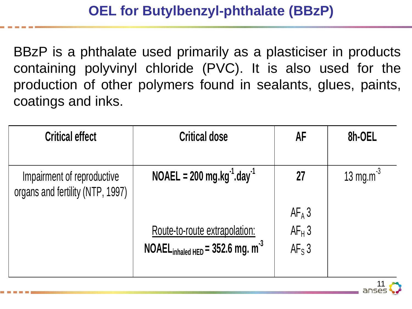BBzP is a phthalate used primarily as a plasticiser in products containing polyvinyl chloride (PVC). It is also used for the production of other polymers found in sealants, glues, paints, coatings and inks.

| <b>Critical effect</b>                                         | <b>Critical dose</b>                                                                      | AF                               | 8h-OEL          |
|----------------------------------------------------------------|-------------------------------------------------------------------------------------------|----------------------------------|-----------------|
| Impairment of reproductive<br>organs and fertility (NTP, 1997) | $NOAEL = 200$ mg.kg <sup>-1</sup> .day <sup>-1</sup>                                      | 27                               | 13 mg.m $^{-3}$ |
|                                                                | <u>Route-to-route extrapolation:</u><br>NOAEL <sub>inhaled HED</sub> = 352.6 mg. $m^{-3}$ | $AF_A$ 3<br>$AF_H$ 3<br>$AF_S$ 3 |                 |

11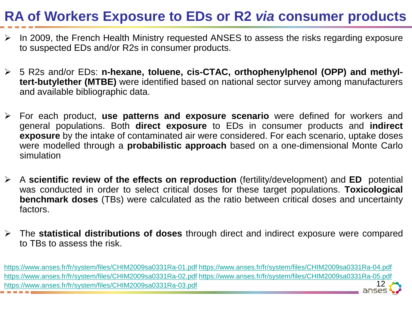### **RA of Workers Exposure to EDs or R2** *via* **consumer products**

- $\triangleright$  In 2009, the French Health Ministry requested ANSES to assess the risks regarding exposure to suspected EDs and/or R2s in consumer products.
- 5 R2s and/or EDs: **n-hexane, toluene, cis-CTAC, orthophenylphenol (OPP) and methyltert-butylether (MTBE)** were identified based on national sector survey among manufacturers and available bibliographic data.
- For each product, **use patterns and exposure scenario** were defined for workers and general populations. Both **direct exposure** to EDs in consumer products and **indirect exposure** by the intake of contaminated air were considered. For each scenario, uptake doses were modelled through a **probabilistic approach** based on a one-dimensional Monte Carlo simulation
- A **scientific review of the effects on reproduction** (fertility/development) and **ED** potential was conducted in order to select critical doses for these target populations. **Toxicological benchmark doses** (TBs) were calculated as the ratio between critical doses and uncertainty factors.
- The **statistical distributions of doses** through direct and indirect exposure were compared to TBs to assess the risk.

12 <https://www.anses.fr/fr/system/files/CHIM2009sa0331Ra-01.pdf> <https://www.anses.fr/fr/system/files/CHIM2009sa0331Ra-04.pdf> <https://www.anses.fr/fr/system/files/CHIM2009sa0331Ra-02.pdf> <https://www.anses.fr/fr/system/files/CHIM2009sa0331Ra-05.pdf> <https://www.anses.fr/fr/system/files/CHIM2009sa0331Ra-03.pdf>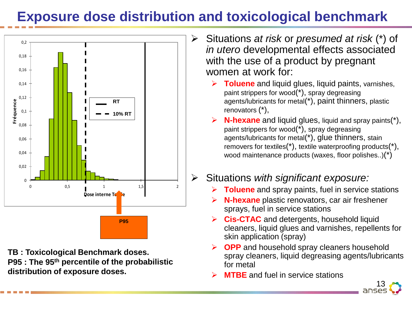### **Exposure dose distribution and toxicological benchmark**



**TB : Toxicological Benchmark doses. P95 : The 95th percentile of the probabilistic distribution of exposure doses.**

- Situations *at risk* or *presumed at risk* (\*) of *in utero* developmental effects associated with the use of a product by pregnant women at work for:
	- **Toluene** and liquid glues, liquid paints, varnishes, paint strippers for wood(\*), spray degreasing agents/lubricants for metal(\*), paint thinners, plastic renovators (\*),
	- **N-hexane** and liquid glues, liquid and spray paints(\*), paint strippers for wood(\*), spray degreasing agents/lubricants for metal(\*), glue thinners, stain removers for textiles(\*), textile waterproofing products(\*), wood maintenance products (waxes, floor polishes..)(\*)

#### Situations *with significant exposure:*

- **Toluene** and spray paints, fuel in service stations
- **N-hexane** plastic renovators, car air freshener sprays, fuel in service stations
- **Cis-CTAC** and detergents, household liquid cleaners, liquid glues and varnishes, repellents for skin application (spray)
- **OPP** and household spray cleaners household spray cleaners, liquid degreasing agents/lubricants for metal
- **MTBE** and fuel in service stations

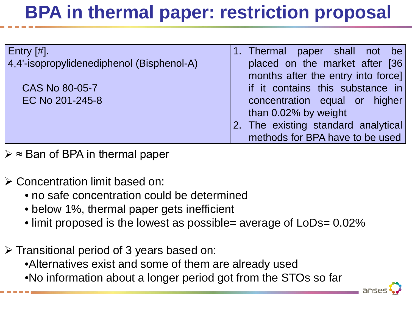# **BPA in thermal paper: restriction proposal**

| $ $ Entry $[#]$ .                         | 1. Thermal paper shall not be       |
|-------------------------------------------|-------------------------------------|
| 4,4'-isopropylidenediphenol (Bisphenol-A) | placed on the market after [36      |
|                                           | months after the entry into force]  |
| CAS No 80-05-7                            | if it contains this substance in    |
| EC No 201-245-8                           | concentration equal or higher       |
|                                           | than 0.02% by weight                |
|                                           | 2. The existing standard analytical |
|                                           | methods for BPA have to be used     |

≈ Ban of BPA in thermal paper

- Concentration limit based on:
	- no safe concentration could be determined
	- below 1%, thermal paper gets inefficient
	- limit proposed is the lowest as possible= average of LoDs= 0.02%
- $\triangleright$  Transitional period of 3 years based on: •Alternatives exist and some of them are already used •No information about a longer period got from the STOs so far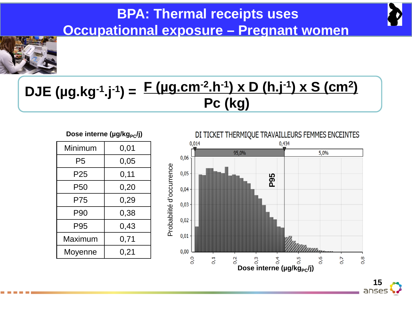### **BPA: Thermal receipts uses Occupationnal exposure – Pregnant women**



### **F (µg.cm-2.h-1) x D (h.j-1) x S (cm2) Pc (kg) DJE (µg.kg-1.j-1) =**

#### Dose interne (µg/kg<sub>PC</sub>/j)

| Minimum         | 0,01 |
|-----------------|------|
| P5              | 0,05 |
| P25             | 0,11 |
| P <sub>50</sub> | 0,20 |
| P75             | 0,29 |
| P90             | 0,38 |
| P95             | 0,43 |
| Maximum         | 0,71 |
| Moyenne         | 0,21 |
|                 |      |

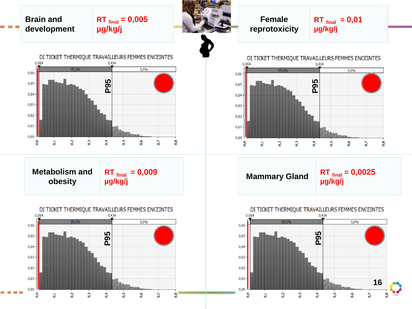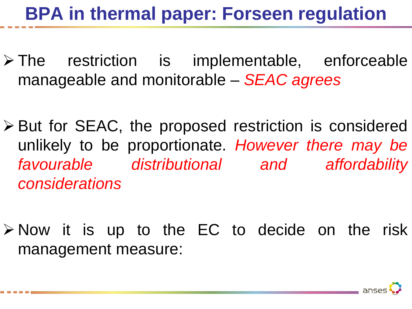## **BPA in thermal paper: Forseen regulation**

- $\triangleright$  The restriction is implementable, enforceable manageable and monitorable – *SEAC agrees*
- But for SEAC, the proposed restriction is considered unlikely to be proportionate. *However there may be favourable distributional and affordability considerations*
- $\triangleright$  Now it is up to the EC to decide on the risk management measure:

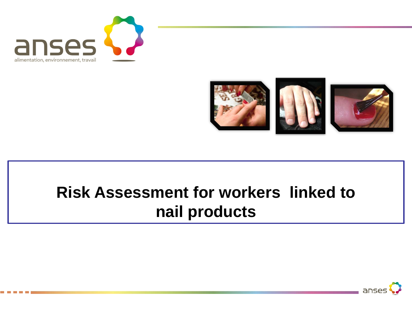



## **Risk Assessment for workers linked to nail products**

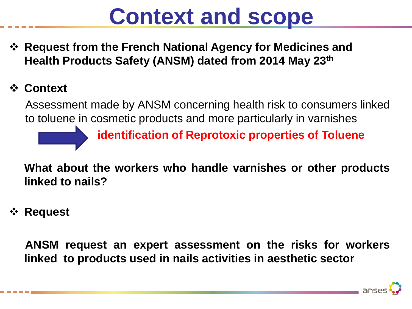# **Context and scope**

 **Request from the French National Agency for Medicines and Health Products Safety (ANSM) dated from 2014 May 23th**

#### **Context**

Assessment made by ANSM concerning health risk to consumers linked to toluene in cosmetic products and more particularly in varnishes

**identification of Reprotoxic properties of Toluene**

**What about the workers who handle varnishes or other products linked to nails?**

**Request**

**ANSM request an expert assessment on the risks for workers linked to products used in nails activities in aesthetic sector**

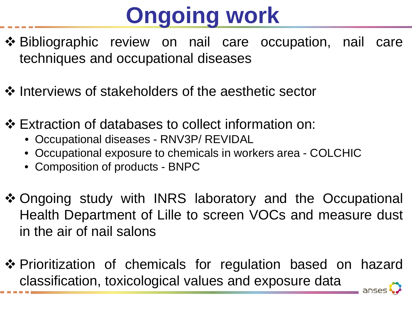# **Ongoing work**

- ❖ Bibliographic review on nail care occupation, nail care techniques and occupational diseases
- ❖ Interviews of stakeholders of the aesthetic sector
- Extraction of databases to collect information on:
	- Occupational diseases RNV3P/ REVIDAL
	- Occupational exposure to chemicals in workers area COLCHIC
	- Composition of products BNPC
- ❖ Ongoing study with INRS laboratory and the Occupational Health Department of Lille to screen VOCs and measure dust in the air of nail salons
- ❖ Prioritization of chemicals for regulation based on hazard classification, toxicological values and exposure data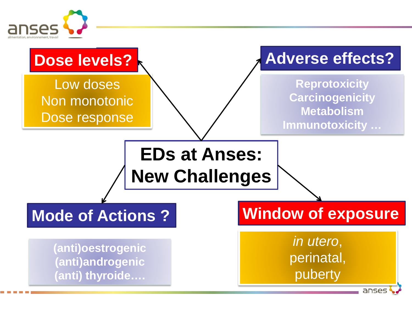